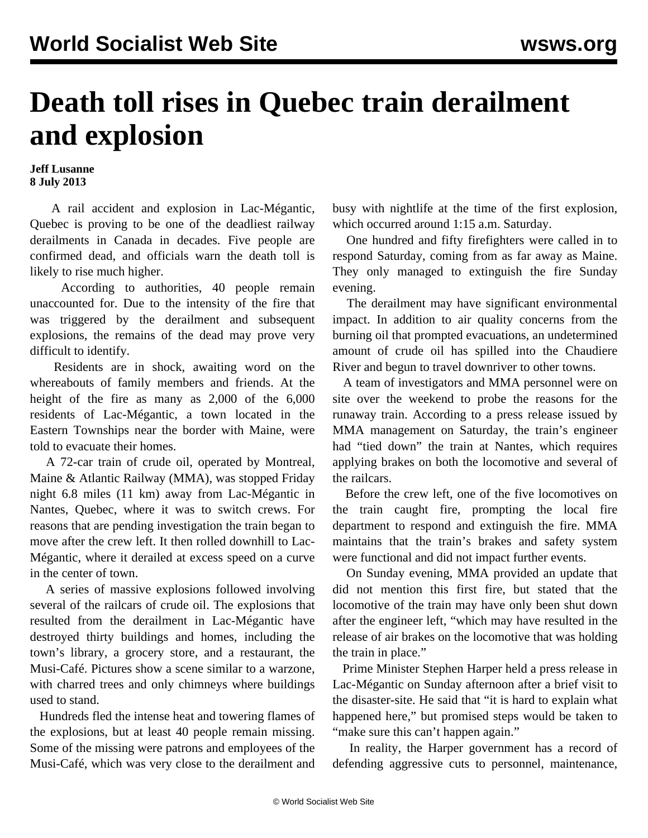## **Death toll rises in Quebec train derailment and explosion**

## **Jeff Lusanne 8 July 2013**

 A rail accident and explosion in Lac-Mégantic, Quebec is proving to be one of the deadliest railway derailments in Canada in decades. Five people are confirmed dead, and officials warn the death toll is likely to rise much higher.

 According to authorities, 40 people remain unaccounted for. Due to the intensity of the fire that was triggered by the derailment and subsequent explosions, the remains of the dead may prove very difficult to identify.

 Residents are in shock, awaiting word on the whereabouts of family members and friends. At the height of the fire as many as 2,000 of the 6,000 residents of Lac-Mégantic, a town located in the Eastern Townships near the border with Maine, were told to evacuate their homes.

 A 72-car train of crude oil, operated by Montreal, Maine & Atlantic Railway (MMA), was stopped Friday night 6.8 miles (11 km) away from Lac-Mégantic in Nantes, Quebec, where it was to switch crews. For reasons that are pending investigation the train began to move after the crew left. It then rolled downhill to Lac-Mégantic, where it derailed at excess speed on a curve in the center of town.

 A series of massive explosions followed involving several of the railcars of crude oil. The explosions that resulted from the derailment in Lac-Mégantic have destroyed thirty buildings and homes, including the town's library, a grocery store, and a restaurant, the Musi-Café. Pictures show a scene similar to a warzone, with charred trees and only chimneys where buildings used to stand.

 Hundreds fled the intense heat and towering flames of the explosions, but at least 40 people remain missing. Some of the missing were patrons and employees of the Musi-Café, which was very close to the derailment and busy with nightlife at the time of the first explosion, which occurred around 1:15 a.m. Saturday.

 One hundred and fifty firefighters were called in to respond Saturday, coming from as far away as Maine. They only managed to extinguish the fire Sunday evening.

 The derailment may have significant environmental impact. In addition to air quality concerns from the burning oil that prompted evacuations, an undetermined amount of crude oil has spilled into the Chaudiere River and begun to travel downriver to other towns.

 A team of investigators and MMA personnel were on site over the weekend to probe the reasons for the runaway train. According to a press release issued by MMA management on Saturday, the train's engineer had "tied down" the train at Nantes, which requires applying brakes on both the locomotive and several of the railcars.

 Before the crew left, one of the five locomotives on the train caught fire, prompting the local fire department to respond and extinguish the fire. MMA maintains that the train's brakes and safety system were functional and did not impact further events.

 On Sunday evening, MMA provided an update that did not mention this first fire, but stated that the locomotive of the train may have only been shut down after the engineer left, "which may have resulted in the release of air brakes on the locomotive that was holding the train in place."

 Prime Minister Stephen Harper held a press release in Lac-Mégantic on Sunday afternoon after a brief visit to the disaster-site. He said that "it is hard to explain what happened here," but promised steps would be taken to "make sure this can't happen again."

 In reality, the Harper government has a record of defending aggressive cuts to personnel, maintenance,